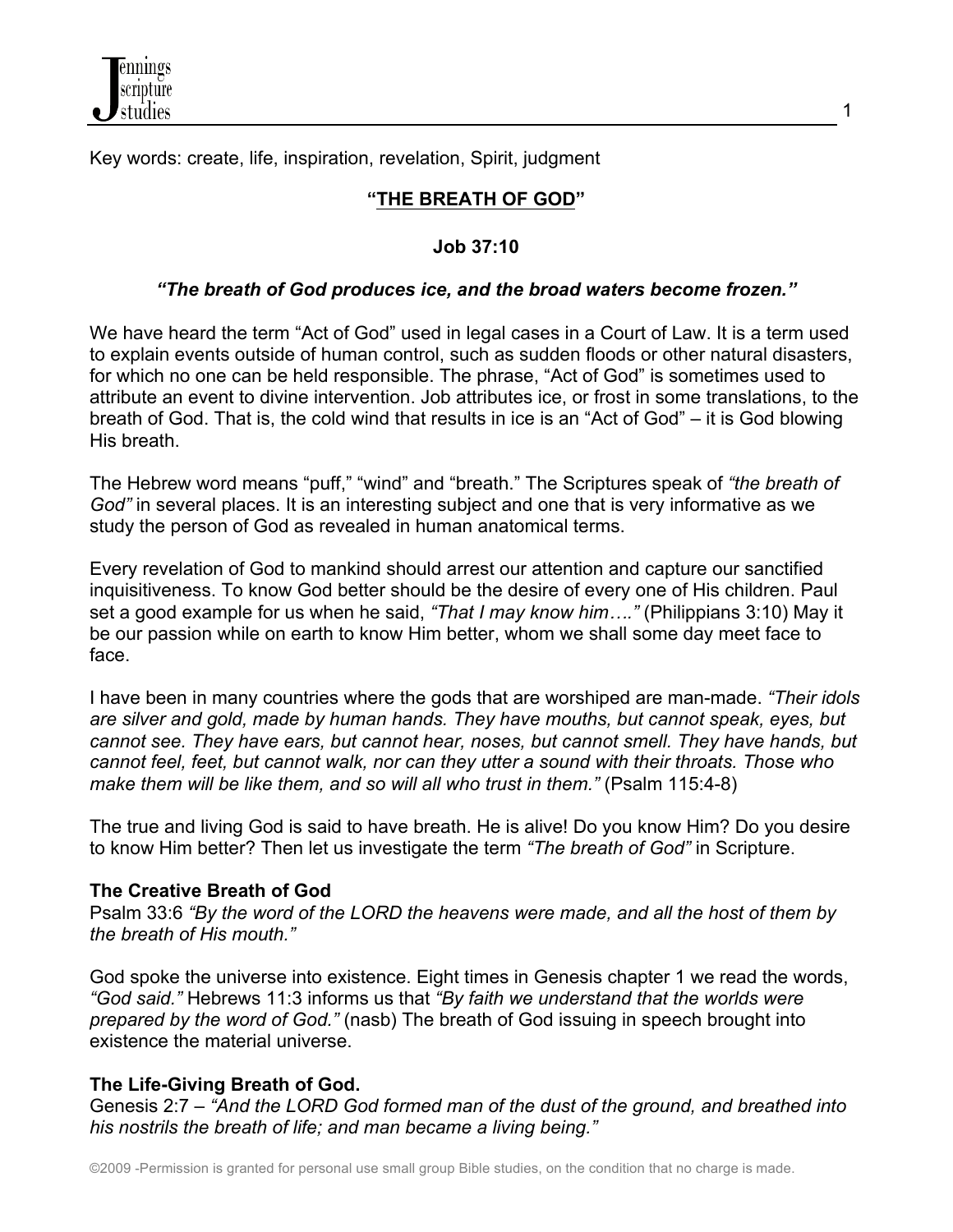

Key words: create, life, inspiration, revelation, Spirit, judgment

# **"THE BREATH OF GOD"**

1

## **Job 37:10**

## *"The breath of God produces ice, and the broad waters become frozen."*

We have heard the term "Act of God" used in legal cases in a Court of Law. It is a term used to explain events outside of human control, such as sudden floods or other natural disasters, for which no one can be held responsible. The phrase, "Act of God" is sometimes used to attribute an event to divine intervention. Job attributes ice, or frost in some translations, to the breath of God. That is, the cold wind that results in ice is an "Act of God" – it is God blowing His breath.

The Hebrew word means "puff," "wind" and "breath." The Scriptures speak of *"the breath of God"* in several places. It is an interesting subject and one that is very informative as we study the person of God as revealed in human anatomical terms.

Every revelation of God to mankind should arrest our attention and capture our sanctified inquisitiveness. To know God better should be the desire of every one of His children. Paul set a good example for us when he said, *"That I may know him…."* (Philippians 3:10) May it be our passion while on earth to know Him better, whom we shall some day meet face to face.

I have been in many countries where the gods that are worshiped are man-made. *"Their idols are silver and gold, made by human hands. They have mouths, but cannot speak, eyes, but cannot see. They have ears, but cannot hear, noses, but cannot smell. They have hands, but cannot feel, feet, but cannot walk, nor can they utter a sound with their throats. Those who make them will be like them, and so will all who trust in them."* (Psalm 115:4-8)

The true and living God is said to have breath. He is alive! Do you know Him? Do you desire to know Him better? Then let us investigate the term *"The breath of God"* in Scripture.

# **The Creative Breath of God**

Psalm 33:6 *"By the word of the LORD the heavens were made, and all the host of them by the breath of His mouth."*

God spoke the universe into existence. Eight times in Genesis chapter 1 we read the words, *"God said."* Hebrews 11:3 informs us that *"By faith we understand that the worlds were prepared by the word of God."* (nasb) The breath of God issuing in speech brought into existence the material universe.

# **The Life-Giving Breath of God.**

Genesis 2:7 – *"And the LORD God formed man of the dust of the ground, and breathed into his nostrils the breath of life; and man became a living being."*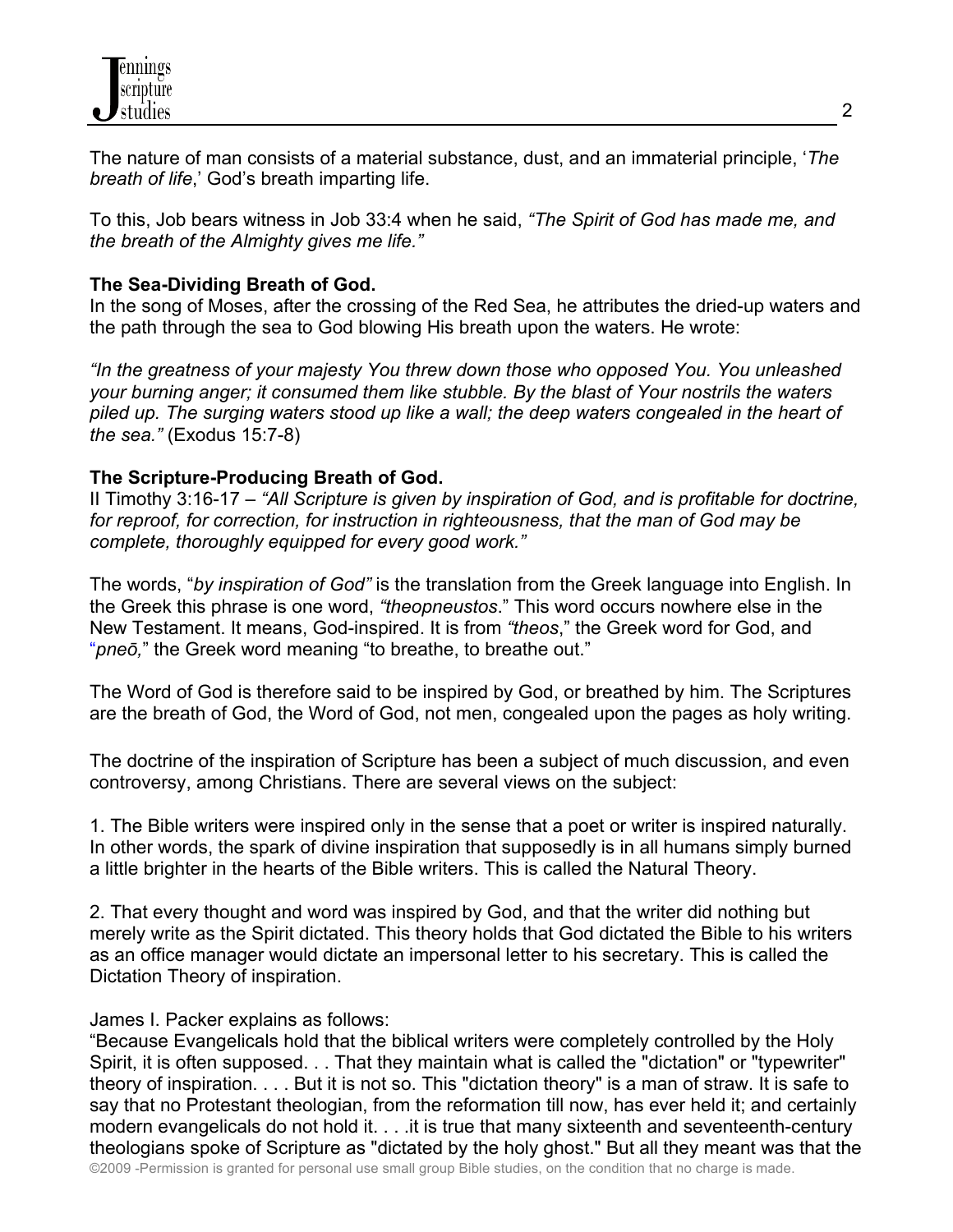

The nature of man consists of a material substance, dust, and an immaterial principle, '*The breath of life*,' God's breath imparting life.

To this, Job bears witness in Job 33:4 when he said, *"The Spirit of God has made me, and the breath of the Almighty gives me life."*

#### **The Sea-Dividing Breath of God.**

In the song of Moses, after the crossing of the Red Sea, he attributes the dried-up waters and the path through the sea to God blowing His breath upon the waters. He wrote:

*"In the greatness of your majesty You threw down those who opposed You. You unleashed your burning anger; it consumed them like stubble. By the blast of Your nostrils the waters piled up. The surging waters stood up like a wall; the deep waters congealed in the heart of the sea."* (Exodus 15:7-8)

#### **The Scripture-Producing Breath of God.**

II Timothy 3:16-17 – *"All Scripture is given by inspiration of God, and is profitable for doctrine, for reproof, for correction, for instruction in righteousness, that the man of God may be complete, thoroughly equipped for every good work."*

The words, "*by inspiration of God"* is the translation from the Greek language into English. In the Greek this phrase is one word, *"theopneustos*." This word occurs nowhere else in the New Testament. It means, God-inspired. It is from *"theos*," the Greek word for God, and "*pneō,*" the Greek word meaning "to breathe, to breathe out."

The Word of God is therefore said to be inspired by God, or breathed by him. The Scriptures are the breath of God, the Word of God, not men, congealed upon the pages as holy writing.

The doctrine of the inspiration of Scripture has been a subject of much discussion, and even controversy, among Christians. There are several views on the subject:

1. The Bible writers were inspired only in the sense that a poet or writer is inspired naturally. In other words, the spark of divine inspiration that supposedly is in all humans simply burned a little brighter in the hearts of the Bible writers. This is called the Natural Theory.

2. That every thought and word was inspired by God, and that the writer did nothing but merely write as the Spirit dictated. This theory holds that God dictated the Bible to his writers as an office manager would dictate an impersonal letter to his secretary. This is called the Dictation Theory of inspiration.

#### James I. Packer explains as follows:

©2009 -Permission is granted for personal use small group Bible studies, on the condition that no charge is made. "Because Evangelicals hold that the biblical writers were completely controlled by the Holy Spirit, it is often supposed. . . That they maintain what is called the "dictation" or "typewriter" theory of inspiration. . . . But it is not so. This "dictation theory" is a man of straw. It is safe to say that no Protestant theologian, from the reformation till now, has ever held it; and certainly modern evangelicals do not hold it. . . .it is true that many sixteenth and seventeenth-century theologians spoke of Scripture as "dictated by the holy ghost." But all they meant was that the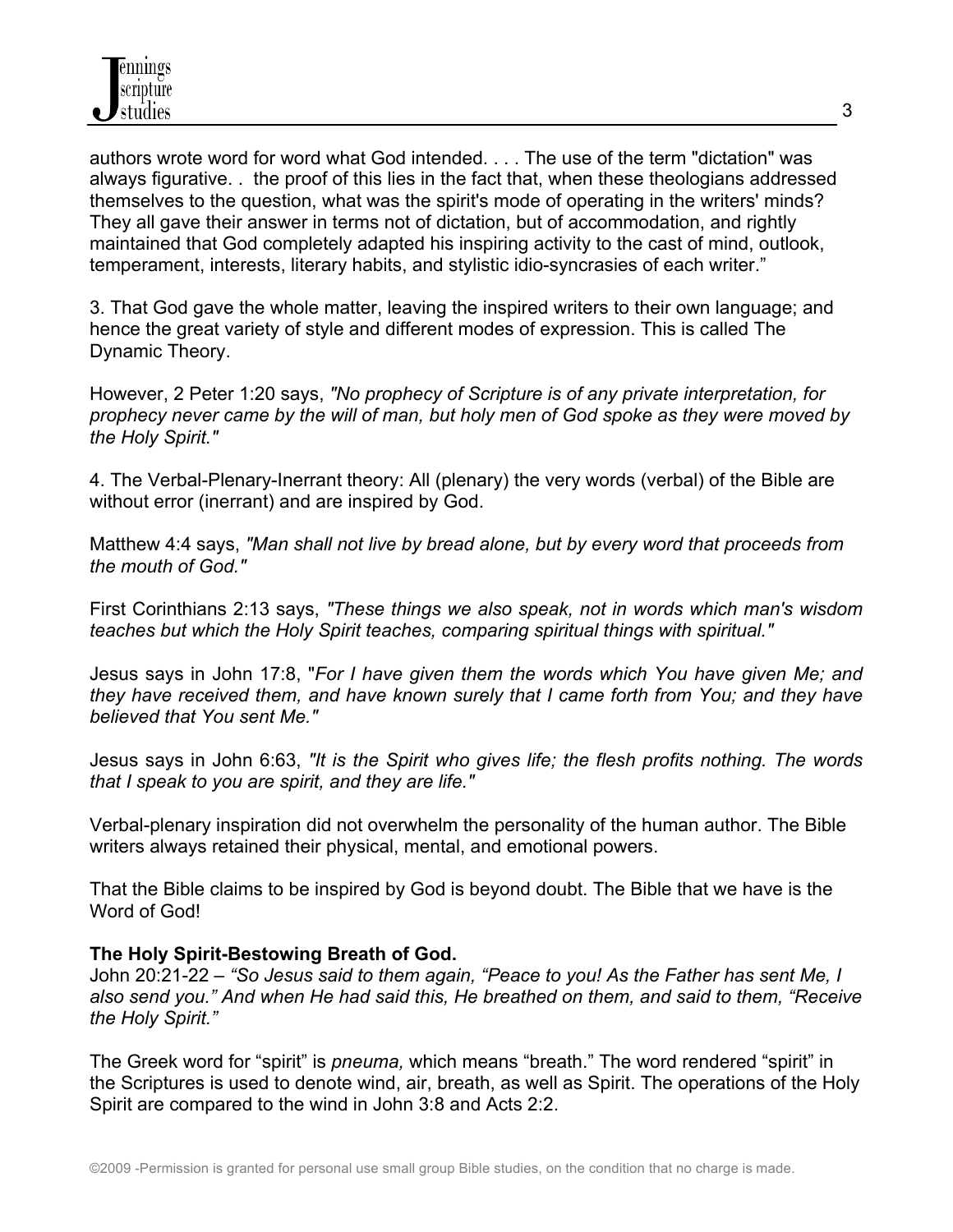authors wrote word for word what God intended. . . . The use of the term "dictation" was always figurative. . the proof of this lies in the fact that, when these theologians addressed themselves to the question, what was the spirit's mode of operating in the writers' minds? They all gave their answer in terms not of dictation, but of accommodation, and rightly maintained that God completely adapted his inspiring activity to the cast of mind, outlook, temperament, interests, literary habits, and stylistic idio-syncrasies of each writer."

3. That God gave the whole matter, leaving the inspired writers to their own language; and hence the great variety of style and different modes of expression. This is called The Dynamic Theory.

However, 2 Peter 1:20 says, *"No prophecy of Scripture is of any private interpretation, for prophecy never came by the will of man, but holy men of God spoke as they were moved by the Holy Spirit."*

4. The Verbal-Plenary-Inerrant theory: All (plenary) the very words (verbal) of the Bible are without error (inerrant) and are inspired by God.

Matthew 4:4 says, *"Man shall not live by bread alone, but by every word that proceeds from the mouth of God."*

First Corinthians 2:13 says, *"These things we also speak, not in words which man's wisdom teaches but which the Holy Spirit teaches, comparing spiritual things with spiritual."*

Jesus says in John 17:8, "*For I have given them the words which You have given Me; and they have received them, and have known surely that I came forth from You; and they have believed that You sent Me."*

Jesus says in John 6:63, *"It is the Spirit who gives life; the flesh profits nothing. The words that I speak to you are spirit, and they are life."*

Verbal-plenary inspiration did not overwhelm the personality of the human author. The Bible writers always retained their physical, mental, and emotional powers.

That the Bible claims to be inspired by God is beyond doubt. The Bible that we have is the Word of God!

# **The Holy Spirit-Bestowing Breath of God.**

John 20:21-22 – *"So Jesus said to them again, "Peace to you! As the Father has sent Me, I also send you." And when He had said this, He breathed on them, and said to them, "Receive the Holy Spirit."*

The Greek word for "spirit" is *pneuma,* which means "breath." The word rendered "spirit" in the Scriptures is used to denote wind, air, breath, as well as Spirit. The operations of the Holy Spirit are compared to the wind in John 3:8 and Acts 2:2.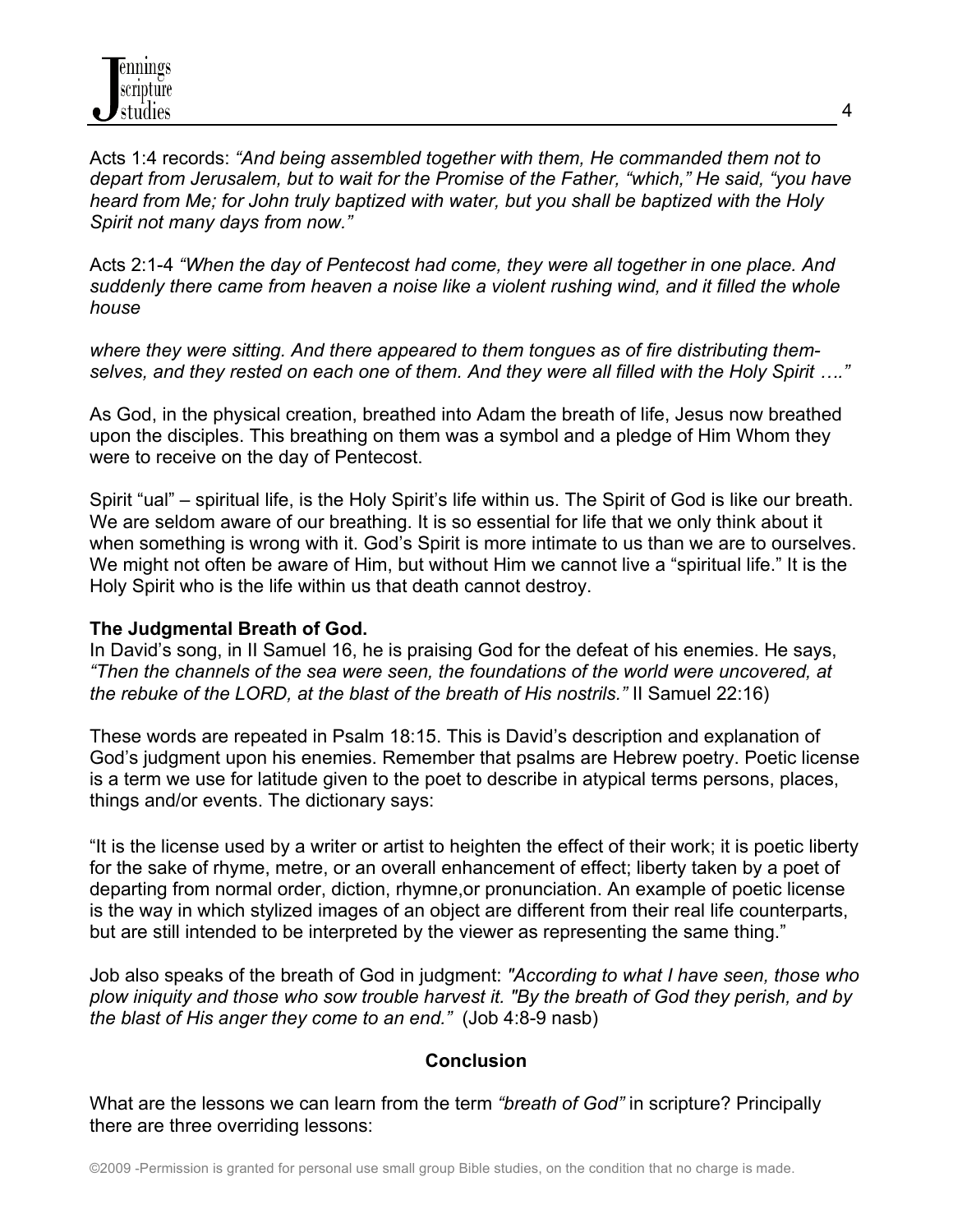Acts 1:4 records: *"And being assembled together with them, He commanded them not to depart from Jerusalem, but to wait for the Promise of the Father, "which," He said, "you have heard from Me; for John truly baptized with water, but you shall be baptized with the Holy Spirit not many days from now."*

Acts 2:1-4 *"When the day of Pentecost had come, they were all together in one place. And suddenly there came from heaven a noise like a violent rushing wind, and it filled the whole house*

*where they were sitting. And there appeared to them tongues as of fire distributing themselves, and they rested on each one of them. And they were all filled with the Holy Spirit …."*

As God, in the physical creation, breathed into Adam the breath of life, Jesus now breathed upon the disciples. This breathing on them was a symbol and a pledge of Him Whom they were to receive on the day of Pentecost.

Spirit "ual" – spiritual life, is the Holy Spirit's life within us. The Spirit of God is like our breath. We are seldom aware of our breathing. It is so essential for life that we only think about it when something is wrong with it. God's Spirit is more intimate to us than we are to ourselves. We might not often be aware of Him, but without Him we cannot live a "spiritual life." It is the Holy Spirit who is the life within us that death cannot destroy.

# **The Judgmental Breath of God.**

In David's song, in II Samuel 16, he is praising God for the defeat of his enemies. He says, *"Then the channels of the sea were seen, the foundations of the world were uncovered, at the rebuke of the LORD, at the blast of the breath of His nostrils."* II Samuel 22:16)

These words are repeated in Psalm 18:15. This is David's description and explanation of God's judgment upon his enemies. Remember that psalms are Hebrew poetry. Poetic license is a term we use for latitude given to the poet to describe in atypical terms persons, places, things and/or events. The dictionary says:

"It is the license used by a writer or artist to heighten the effect of their work; it is poetic liberty for the sake of rhyme, metre, or an overall enhancement of effect; liberty taken by a poet of departing from normal order, diction, rhymne,or pronunciation. An example of poetic license is the way in which stylized images of an object are different from their real life counterparts, but are still intended to be interpreted by the viewer as representing the same thing."

Job also speaks of the breath of God in judgment: *"According to what I have seen, those who plow iniquity and those who sow trouble harvest it. "By the breath of God they perish, and by the blast of His anger they come to an end."* (Job 4:8-9 nasb)

#### **Conclusion**

What are the lessons we can learn from the term *"breath of God"* in scripture? Principally there are three overriding lessons: